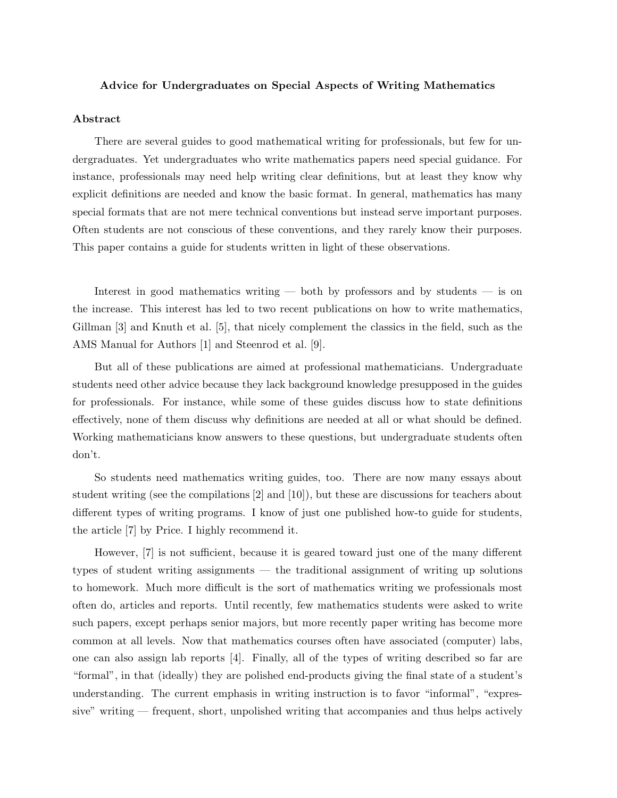#### Advice for Undergraduates on Special Aspects of Writing Mathematics

#### Abstract

There are several guides to good mathematical writing for professionals, but few for undergraduates. Yet undergraduates who write mathematics papers need special guidance. For instance, professionals may need help writing clear definitions, but at least they know why explicit definitions are needed and know the basic format. In general, mathematics has many special formats that are not mere technical conventions but instead serve important purposes. Often students are not conscious of these conventions, and they rarely know their purposes. This paper contains a guide for students written in light of these observations.

Interest in good mathematics writing — both by professors and by students — is on the increase. This interest has led to two recent publications on how to write mathematics, Gillman [3] and Knuth et al. [5], that nicely complement the classics in the field, such as the AMS Manual for Authors [1] and Steenrod et al. [9].

But all of these publications are aimed at professional mathematicians. Undergraduate students need other advice because they lack background knowledge presupposed in the guides for professionals. For instance, while some of these guides discuss how to state definitions effectively, none of them discuss why definitions are needed at all or what should be defined. Working mathematicians know answers to these questions, but undergraduate students often don't.

So students need mathematics writing guides, too. There are now many essays about student writing (see the compilations [2] and [10]), but these are discussions for teachers about different types of writing programs. I know of just one published how-to guide for students, the article [7] by Price. I highly recommend it.

However, [7] is not sufficient, because it is geared toward just one of the many different types of student writing assignments — the traditional assignment of writing up solutions to homework. Much more difficult is the sort of mathematics writing we professionals most often do, articles and reports. Until recently, few mathematics students were asked to write such papers, except perhaps senior majors, but more recently paper writing has become more common at all levels. Now that mathematics courses often have associated (computer) labs, one can also assign lab reports [4]. Finally, all of the types of writing described so far are "formal", in that (ideally) they are polished end-products giving the final state of a student's understanding. The current emphasis in writing instruction is to favor "informal", "expressive" writing — frequent, short, unpolished writing that accompanies and thus helps actively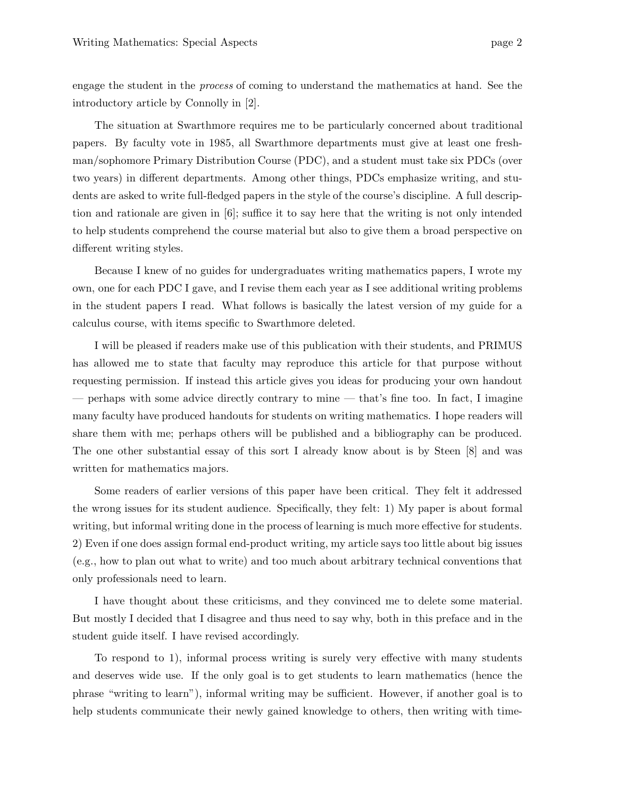engage the student in the process of coming to understand the mathematics at hand. See the introductory article by Connolly in [2].

The situation at Swarthmore requires me to be particularly concerned about traditional papers. By faculty vote in 1985, all Swarthmore departments must give at least one freshman/sophomore Primary Distribution Course (PDC), and a student must take six PDCs (over two years) in different departments. Among other things, PDCs emphasize writing, and students are asked to write full-fledged papers in the style of the course's discipline. A full description and rationale are given in [6]; suffice it to say here that the writing is not only intended to help students comprehend the course material but also to give them a broad perspective on different writing styles.

Because I knew of no guides for undergraduates writing mathematics papers, I wrote my own, one for each PDC I gave, and I revise them each year as I see additional writing problems in the student papers I read. What follows is basically the latest version of my guide for a calculus course, with items specific to Swarthmore deleted.

I will be pleased if readers make use of this publication with their students, and PRIMUS has allowed me to state that faculty may reproduce this article for that purpose without requesting permission. If instead this article gives you ideas for producing your own handout — perhaps with some advice directly contrary to mine — that's fine too. In fact, I imagine many faculty have produced handouts for students on writing mathematics. I hope readers will share them with me; perhaps others will be published and a bibliography can be produced. The one other substantial essay of this sort I already know about is by Steen [8] and was written for mathematics majors.

Some readers of earlier versions of this paper have been critical. They felt it addressed the wrong issues for its student audience. Specifically, they felt: 1) My paper is about formal writing, but informal writing done in the process of learning is much more effective for students. 2) Even if one does assign formal end-product writing, my article says too little about big issues (e.g., how to plan out what to write) and too much about arbitrary technical conventions that only professionals need to learn.

I have thought about these criticisms, and they convinced me to delete some material. But mostly I decided that I disagree and thus need to say why, both in this preface and in the student guide itself. I have revised accordingly.

To respond to 1), informal process writing is surely very effective with many students and deserves wide use. If the only goal is to get students to learn mathematics (hence the phrase "writing to learn"), informal writing may be sufficient. However, if another goal is to help students communicate their newly gained knowledge to others, then writing with time-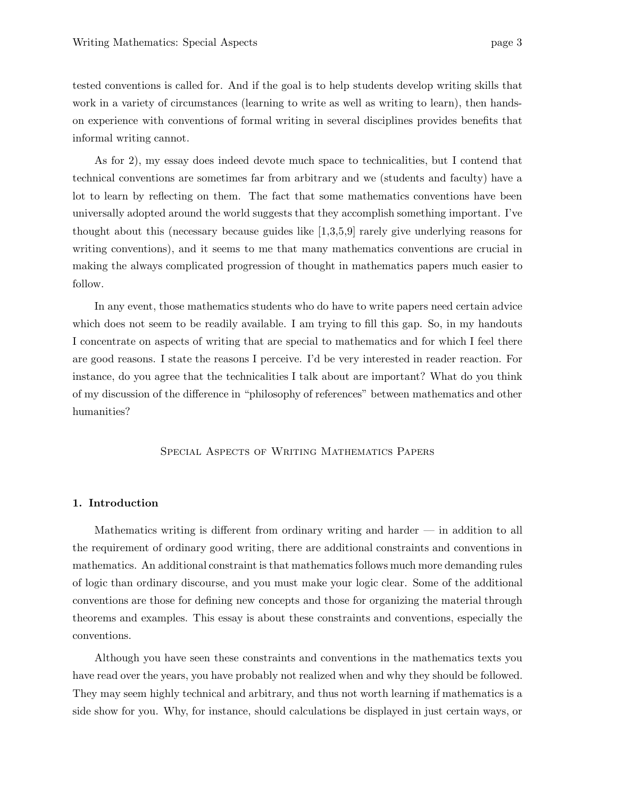tested conventions is called for. And if the goal is to help students develop writing skills that work in a variety of circumstances (learning to write as well as writing to learn), then handson experience with conventions of formal writing in several disciplines provides benefits that informal writing cannot.

As for 2), my essay does indeed devote much space to technicalities, but I contend that technical conventions are sometimes far from arbitrary and we (students and faculty) have a lot to learn by reflecting on them. The fact that some mathematics conventions have been universally adopted around the world suggests that they accomplish something important. I've thought about this (necessary because guides like [1,3,5,9] rarely give underlying reasons for writing conventions), and it seems to me that many mathematics conventions are crucial in making the always complicated progression of thought in mathematics papers much easier to follow.

In any event, those mathematics students who do have to write papers need certain advice which does not seem to be readily available. I am trying to fill this gap. So, in my handouts I concentrate on aspects of writing that are special to mathematics and for which I feel there are good reasons. I state the reasons I perceive. I'd be very interested in reader reaction. For instance, do you agree that the technicalities I talk about are important? What do you think of my discussion of the difference in "philosophy of references" between mathematics and other humanities?

# Special Aspects of Writing Mathematics Papers

## 1. Introduction

Mathematics writing is different from ordinary writing and harder  $-$  in addition to all the requirement of ordinary good writing, there are additional constraints and conventions in mathematics. An additional constraint is that mathematics follows much more demanding rules of logic than ordinary discourse, and you must make your logic clear. Some of the additional conventions are those for defining new concepts and those for organizing the material through theorems and examples. This essay is about these constraints and conventions, especially the conventions.

Although you have seen these constraints and conventions in the mathematics texts you have read over the years, you have probably not realized when and why they should be followed. They may seem highly technical and arbitrary, and thus not worth learning if mathematics is a side show for you. Why, for instance, should calculations be displayed in just certain ways, or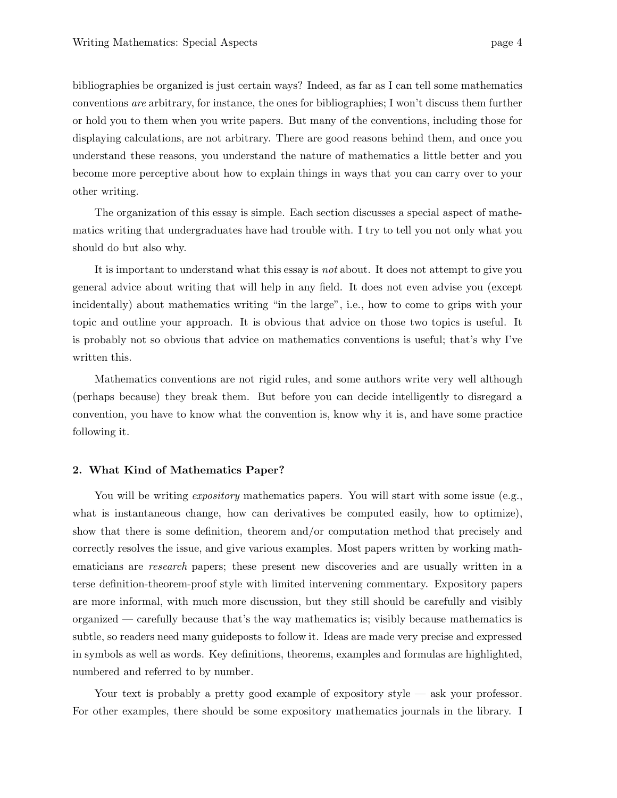bibliographies be organized is just certain ways? Indeed, as far as I can tell some mathematics conventions are arbitrary, for instance, the ones for bibliographies; I won't discuss them further or hold you to them when you write papers. But many of the conventions, including those for displaying calculations, are not arbitrary. There are good reasons behind them, and once you understand these reasons, you understand the nature of mathematics a little better and you become more perceptive about how to explain things in ways that you can carry over to your other writing.

The organization of this essay is simple. Each section discusses a special aspect of mathematics writing that undergraduates have had trouble with. I try to tell you not only what you should do but also why.

It is important to understand what this essay is not about. It does not attempt to give you general advice about writing that will help in any field. It does not even advise you (except incidentally) about mathematics writing "in the large", i.e., how to come to grips with your topic and outline your approach. It is obvious that advice on those two topics is useful. It is probably not so obvious that advice on mathematics conventions is useful; that's why I've written this.

Mathematics conventions are not rigid rules, and some authors write very well although (perhaps because) they break them. But before you can decide intelligently to disregard a convention, you have to know what the convention is, know why it is, and have some practice following it.

## 2. What Kind of Mathematics Paper?

You will be writing *expository* mathematics papers. You will start with some issue (e.g., what is instantaneous change, how can derivatives be computed easily, how to optimize), show that there is some definition, theorem and/or computation method that precisely and correctly resolves the issue, and give various examples. Most papers written by working mathematicians are research papers; these present new discoveries and are usually written in a terse definition-theorem-proof style with limited intervening commentary. Expository papers are more informal, with much more discussion, but they still should be carefully and visibly organized — carefully because that's the way mathematics is; visibly because mathematics is subtle, so readers need many guideposts to follow it. Ideas are made very precise and expressed in symbols as well as words. Key definitions, theorems, examples and formulas are highlighted, numbered and referred to by number.

Your text is probably a pretty good example of expository style — ask your professor. For other examples, there should be some expository mathematics journals in the library. I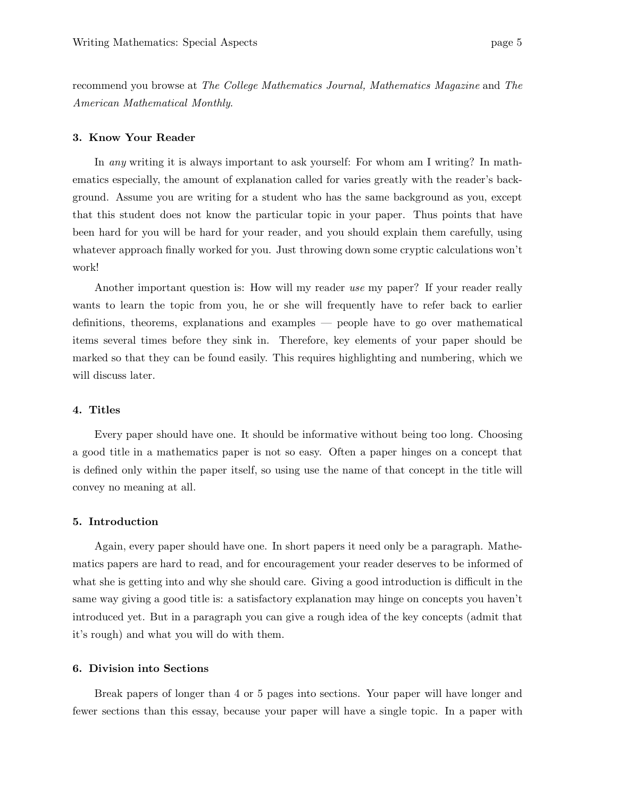recommend you browse at The College Mathematics Journal, Mathematics Magazine and The American Mathematical Monthly.

## 3. Know Your Reader

In any writing it is always important to ask yourself: For whom am I writing? In mathematics especially, the amount of explanation called for varies greatly with the reader's background. Assume you are writing for a student who has the same background as you, except that this student does not know the particular topic in your paper. Thus points that have been hard for you will be hard for your reader, and you should explain them carefully, using whatever approach finally worked for you. Just throwing down some cryptic calculations won't work!

Another important question is: How will my reader use my paper? If your reader really wants to learn the topic from you, he or she will frequently have to refer back to earlier definitions, theorems, explanations and examples — people have to go over mathematical items several times before they sink in. Therefore, key elements of your paper should be marked so that they can be found easily. This requires highlighting and numbering, which we will discuss later.

## 4. Titles

Every paper should have one. It should be informative without being too long. Choosing a good title in a mathematics paper is not so easy. Often a paper hinges on a concept that is defined only within the paper itself, so using use the name of that concept in the title will convey no meaning at all.

## 5. Introduction

Again, every paper should have one. In short papers it need only be a paragraph. Mathematics papers are hard to read, and for encouragement your reader deserves to be informed of what she is getting into and why she should care. Giving a good introduction is difficult in the same way giving a good title is: a satisfactory explanation may hinge on concepts you haven't introduced yet. But in a paragraph you can give a rough idea of the key concepts (admit that it's rough) and what you will do with them.

#### 6. Division into Sections

Break papers of longer than 4 or 5 pages into sections. Your paper will have longer and fewer sections than this essay, because your paper will have a single topic. In a paper with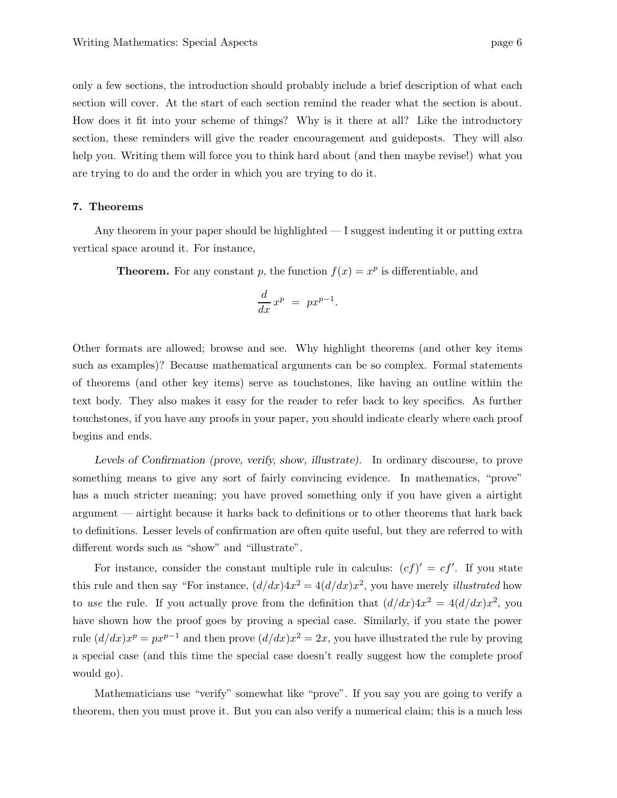only a few sections, the introduction should probably include a brief description of what each section will cover. At the start of each section remind the reader what the section is about. How does it fit into your scheme of things? Why is it there at all? Like the introductory section, these reminders will give the reader encouragement and guideposts. They will also help you. Writing them will force you to think hard about (and then maybe revise!) what you are trying to do and the order in which you are trying to do it.

# 7. Theorems

Any theorem in your paper should be highlighted — I suggest indenting it or putting extra vertical space around it. For instance,

**Theorem.** For any constant p, the function  $f(x) = x^p$  is differentiable, and

$$
\frac{d}{dx}x^p = px^{p-1}.
$$

Other formats are allowed; browse and see. Why highlight theorems (and other key items such as examples)? Because mathematical arguments can be so complex. Formal statements of theorems (and other key items) serve as touchstones, like having an outline within the text body. They also makes it easy for the reader to refer back to key specifics. As further touchstones, if you have any proofs in your paper, you should indicate clearly where each proof begins and ends.

Levels of Confirmation (prove, verify, show, illustrate). In ordinary discourse, to prove something means to give any sort of fairly convincing evidence. In mathematics, "prove" has a much stricter meaning; you have proved something only if you have given a airtight argument — airtight because it harks back to definitions or to other theorems that hark back to definitions. Lesser levels of confirmation are often quite useful, but they are referred to with different words such as "show" and "illustrate".

For instance, consider the constant multiple rule in calculus:  $(cf)' = cf'$ . If you state this rule and then say "For instance,  $\frac{d}{dx}4x^2 = \frac{4}{d}x^2$ , you have merely *illustrated* how to use the rule. If you actually prove from the definition that  $\left(\frac{d}{dx}\right)4x^2 = \frac{4}{d}x^2$ , you have shown how the proof goes by proving a special case. Similarly, if you state the power rule  $\left(\frac{d}{dx}\right)x^p = px^{p-1}$  and then prove  $\left(\frac{d}{dx}\right)x^2 = 2x$ , you have illustrated the rule by proving a special case (and this time the special case doesn't really suggest how the complete proof would go).

Mathematicians use "verify" somewhat like "prove". If you say you are going to verify a theorem, then you must prove it. But you can also verify a numerical claim; this is a much less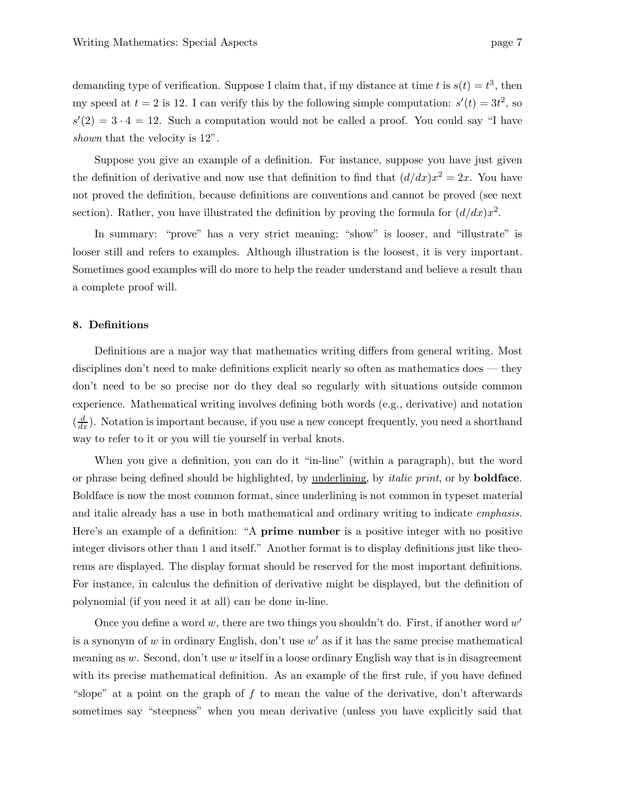demanding type of verification. Suppose I claim that, if my distance at time t is  $s(t) = t^3$ , then my speed at  $t = 2$  is 12. I can verify this by the following simple computation:  $s'(t) = 3t^2$ , so  $s'(2) = 3 \cdot 4 = 12$ . Such a computation would not be called a proof. You could say "I have shown that the velocity is  $12"$ .

Suppose you give an example of a definition. For instance, suppose you have just given the definition of derivative and now use that definition to find that  $(d/dx)x^2 = 2x$ . You have not proved the definition, because definitions are conventions and cannot be proved (see next section). Rather, you have illustrated the definition by proving the formula for  $(d/dx)x^2$ .

In summary: "prove" has a very strict meaning; "show" is looser, and "illustrate" is looser still and refers to examples. Although illustration is the loosest, it is very important. Sometimes good examples will do more to help the reader understand and believe a result than a complete proof will.

# 8. Definitions

Definitions are a major way that mathematics writing differs from general writing. Most disciplines don't need to make definitions explicit nearly so often as mathematics does — they don't need to be so precise nor do they deal so regularly with situations outside common experience. Mathematical writing involves defining both words (e.g., derivative) and notation  $\left(\frac{d}{dx}\right)$ . Notation is important because, if you use a new concept frequently, you need a shorthand way to refer to it or you will tie yourself in verbal knots.

When you give a definition, you can do it "in-line" (within a paragraph), but the word or phrase being defined should be highlighted, by underlining, by *italic print*, or by **boldface**. Boldface is now the most common format, since underlining is not common in typeset material and italic already has a use in both mathematical and ordinary writing to indicate emphasis. Here's an example of a definition: "A prime number is a positive integer with no positive integer divisors other than 1 and itself." Another format is to display definitions just like theorems are displayed. The display format should be reserved for the most important definitions. For instance, in calculus the definition of derivative might be displayed, but the definition of polynomial (if you need it at all) can be done in-line.

Once you define a word w, there are two things you shouldn't do. First, if another word  $w'$ is a synonym of w in ordinary English, don't use  $w'$  as if it has the same precise mathematical meaning as  $w$ . Second, don't use  $w$  itself in a loose ordinary English way that is in disagreement with its precise mathematical definition. As an example of the first rule, if you have defined "slope" at a point on the graph of  $f$  to mean the value of the derivative, don't afterwards sometimes say "steepness" when you mean derivative (unless you have explicitly said that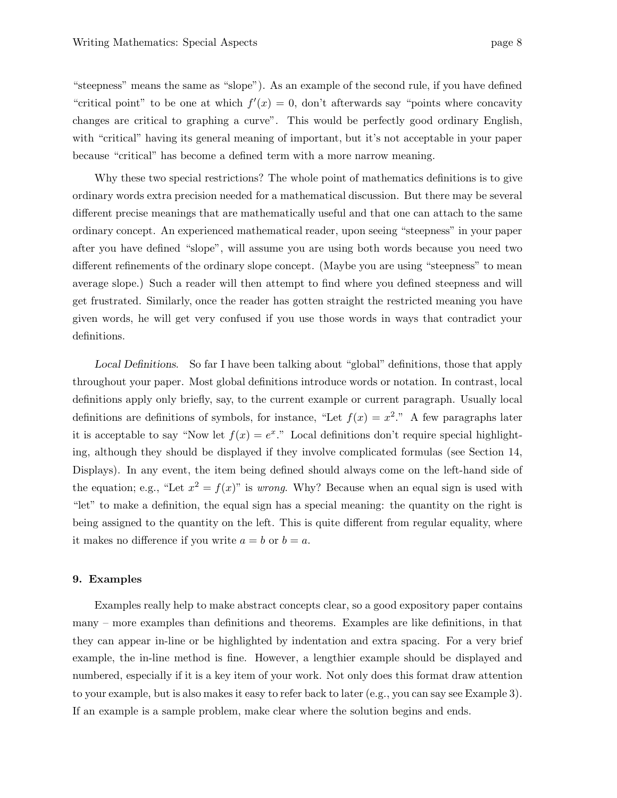"steepness" means the same as "slope"). As an example of the second rule, if you have defined "critical point" to be one at which  $f'(x) = 0$ , don't afterwards say "points where concavity changes are critical to graphing a curve". This would be perfectly good ordinary English, with "critical" having its general meaning of important, but it's not acceptable in your paper because "critical" has become a defined term with a more narrow meaning.

Why these two special restrictions? The whole point of mathematics definitions is to give ordinary words extra precision needed for a mathematical discussion. But there may be several different precise meanings that are mathematically useful and that one can attach to the same ordinary concept. An experienced mathematical reader, upon seeing "steepness" in your paper after you have defined "slope", will assume you are using both words because you need two different refinements of the ordinary slope concept. (Maybe you are using "steepness" to mean average slope.) Such a reader will then attempt to find where you defined steepness and will get frustrated. Similarly, once the reader has gotten straight the restricted meaning you have given words, he will get very confused if you use those words in ways that contradict your definitions.

Local Definitions. So far I have been talking about "global" definitions, those that apply throughout your paper. Most global definitions introduce words or notation. In contrast, local definitions apply only briefly, say, to the current example or current paragraph. Usually local definitions are definitions of symbols, for instance, "Let  $f(x) = x^2$ ." A few paragraphs later it is acceptable to say "Now let  $f(x) = e^x$ ." Local definitions don't require special highlighting, although they should be displayed if they involve complicated formulas (see Section 14, Displays). In any event, the item being defined should always come on the left-hand side of the equation; e.g., "Let  $x^2 = f(x)$ " is *wrong*. Why? Because when an equal sign is used with "let" to make a definition, the equal sign has a special meaning: the quantity on the right is being assigned to the quantity on the left. This is quite different from regular equality, where it makes no difference if you write  $a = b$  or  $b = a$ .

#### 9. Examples

Examples really help to make abstract concepts clear, so a good expository paper contains many – more examples than definitions and theorems. Examples are like definitions, in that they can appear in-line or be highlighted by indentation and extra spacing. For a very brief example, the in-line method is fine. However, a lengthier example should be displayed and numbered, especially if it is a key item of your work. Not only does this format draw attention to your example, but is also makes it easy to refer back to later (e.g., you can say see Example 3). If an example is a sample problem, make clear where the solution begins and ends.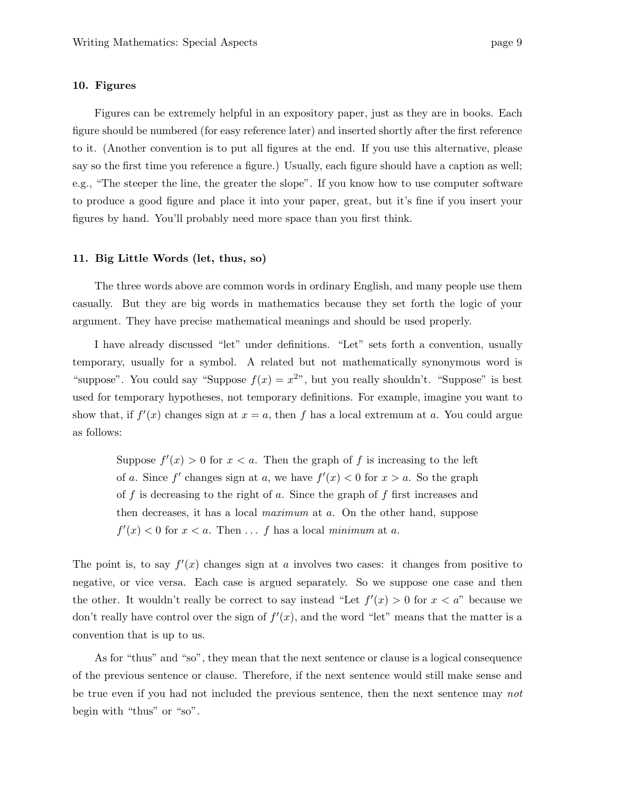#### 10. Figures

Figures can be extremely helpful in an expository paper, just as they are in books. Each figure should be numbered (for easy reference later) and inserted shortly after the first reference to it. (Another convention is to put all figures at the end. If you use this alternative, please say so the first time you reference a figure.) Usually, each figure should have a caption as well; e.g., "The steeper the line, the greater the slope". If you know how to use computer software to produce a good figure and place it into your paper, great, but it's fine if you insert your figures by hand. You'll probably need more space than you first think.

#### 11. Big Little Words (let, thus, so)

The three words above are common words in ordinary English, and many people use them casually. But they are big words in mathematics because they set forth the logic of your argument. They have precise mathematical meanings and should be used properly.

I have already discussed "let" under definitions. "Let" sets forth a convention, usually temporary, usually for a symbol. A related but not mathematically synonymous word is "suppose". You could say "Suppose  $f(x) = x^{2}$ ", but you really shouldn't. "Suppose" is best used for temporary hypotheses, not temporary definitions. For example, imagine you want to show that, if  $f'(x)$  changes sign at  $x = a$ , then f has a local extremum at a. You could argue as follows:

Suppose  $f'(x) > 0$  for  $x < a$ . Then the graph of f is increasing to the left of a. Since  $f'$  changes sign at a, we have  $f'(x) < 0$  for  $x > a$ . So the graph of  $f$  is decreasing to the right of  $a$ . Since the graph of  $f$  first increases and then decreases, it has a local maximum at a. On the other hand, suppose  $f'(x) < 0$  for  $x < a$ . Then ... f has a local minimum at a.

The point is, to say  $f'(x)$  changes sign at a involves two cases: it changes from positive to negative, or vice versa. Each case is argued separately. So we suppose one case and then the other. It wouldn't really be correct to say instead "Let  $f'(x) > 0$  for  $x < a$ " because we don't really have control over the sign of  $f'(x)$ , and the word "let" means that the matter is a convention that is up to us.

As for "thus" and "so", they mean that the next sentence or clause is a logical consequence of the previous sentence or clause. Therefore, if the next sentence would still make sense and be true even if you had not included the previous sentence, then the next sentence may not begin with "thus" or "so".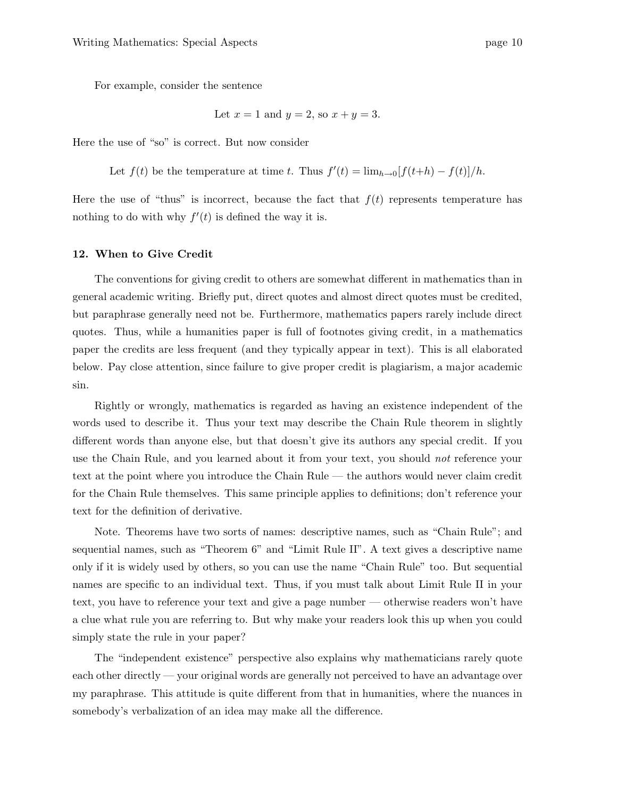For example, consider the sentence

Let 
$$
x = 1
$$
 and  $y = 2$ , so  $x + y = 3$ .

Here the use of "so" is correct. But now consider

Let  $f(t)$  be the temperature at time t. Thus  $f'(t) = \lim_{h \to 0} [f(t+h) - f(t)]/h$ .

Here the use of "thus" is incorrect, because the fact that  $f(t)$  represents temperature has nothing to do with why  $f'(t)$  is defined the way it is.

## 12. When to Give Credit

The conventions for giving credit to others are somewhat different in mathematics than in general academic writing. Briefly put, direct quotes and almost direct quotes must be credited, but paraphrase generally need not be. Furthermore, mathematics papers rarely include direct quotes. Thus, while a humanities paper is full of footnotes giving credit, in a mathematics paper the credits are less frequent (and they typically appear in text). This is all elaborated below. Pay close attention, since failure to give proper credit is plagiarism, a major academic sin.

Rightly or wrongly, mathematics is regarded as having an existence independent of the words used to describe it. Thus your text may describe the Chain Rule theorem in slightly different words than anyone else, but that doesn't give its authors any special credit. If you use the Chain Rule, and you learned about it from your text, you should not reference your text at the point where you introduce the Chain Rule — the authors would never claim credit for the Chain Rule themselves. This same principle applies to definitions; don't reference your text for the definition of derivative.

Note. Theorems have two sorts of names: descriptive names, such as "Chain Rule"; and sequential names, such as "Theorem 6" and "Limit Rule II". A text gives a descriptive name only if it is widely used by others, so you can use the name "Chain Rule" too. But sequential names are specific to an individual text. Thus, if you must talk about Limit Rule II in your text, you have to reference your text and give a page number — otherwise readers won't have a clue what rule you are referring to. But why make your readers look this up when you could simply state the rule in your paper?

The "independent existence" perspective also explains why mathematicians rarely quote each other directly — your original words are generally not perceived to have an advantage over my paraphrase. This attitude is quite different from that in humanities, where the nuances in somebody's verbalization of an idea may make all the difference.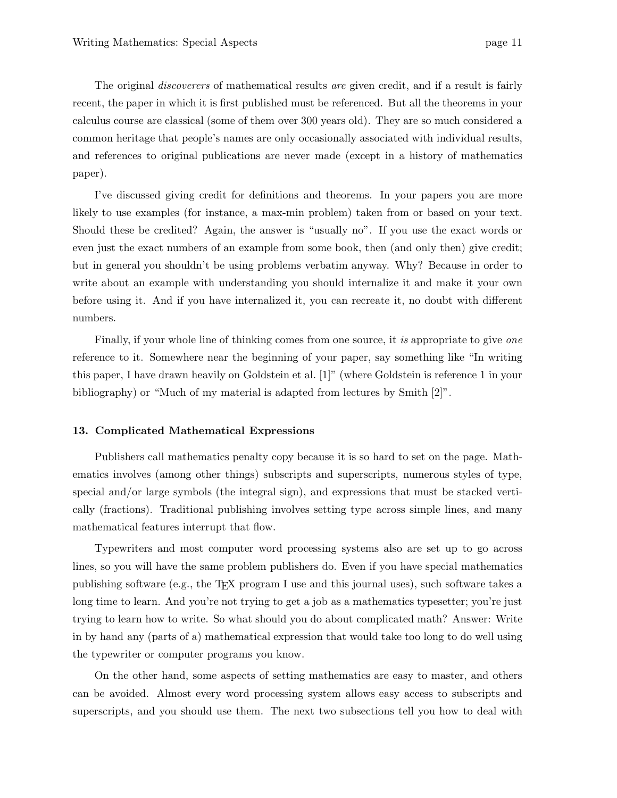The original *discoverers* of mathematical results *are* given credit, and if a result is fairly recent, the paper in which it is first published must be referenced. But all the theorems in your calculus course are classical (some of them over 300 years old). They are so much considered a common heritage that people's names are only occasionally associated with individual results, and references to original publications are never made (except in a history of mathematics paper).

I've discussed giving credit for definitions and theorems. In your papers you are more likely to use examples (for instance, a max-min problem) taken from or based on your text. Should these be credited? Again, the answer is "usually no". If you use the exact words or even just the exact numbers of an example from some book, then (and only then) give credit; but in general you shouldn't be using problems verbatim anyway. Why? Because in order to write about an example with understanding you should internalize it and make it your own before using it. And if you have internalized it, you can recreate it, no doubt with different numbers.

Finally, if your whole line of thinking comes from one source, it is appropriate to give one reference to it. Somewhere near the beginning of your paper, say something like "In writing this paper, I have drawn heavily on Goldstein et al. [1]" (where Goldstein is reference 1 in your bibliography) or "Much of my material is adapted from lectures by Smith [2]".

#### 13. Complicated Mathematical Expressions

Publishers call mathematics penalty copy because it is so hard to set on the page. Mathematics involves (among other things) subscripts and superscripts, numerous styles of type, special and/or large symbols (the integral sign), and expressions that must be stacked vertically (fractions). Traditional publishing involves setting type across simple lines, and many mathematical features interrupt that flow.

Typewriters and most computer word processing systems also are set up to go across lines, so you will have the same problem publishers do. Even if you have special mathematics publishing software (e.g., the T<sub>EX</sub> program I use and this journal uses), such software takes a long time to learn. And you're not trying to get a job as a mathematics typesetter; you're just trying to learn how to write. So what should you do about complicated math? Answer: Write in by hand any (parts of a) mathematical expression that would take too long to do well using the typewriter or computer programs you know.

On the other hand, some aspects of setting mathematics are easy to master, and others can be avoided. Almost every word processing system allows easy access to subscripts and superscripts, and you should use them. The next two subsections tell you how to deal with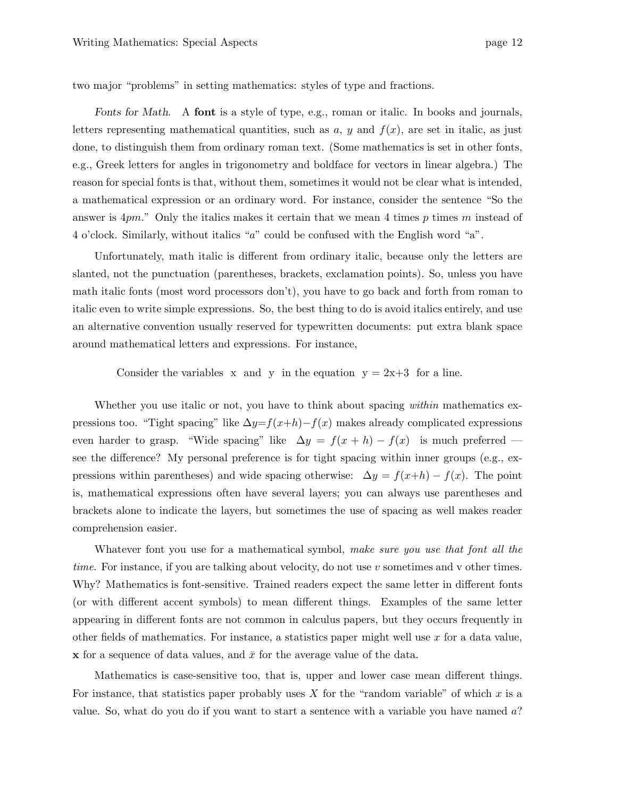two major "problems" in setting mathematics: styles of type and fractions.

Fonts for Math. A **font** is a style of type, e.g., roman or italic. In books and journals, letters representing mathematical quantities, such as  $a, y$  and  $f(x)$ , are set in italic, as just done, to distinguish them from ordinary roman text. (Some mathematics is set in other fonts, e.g., Greek letters for angles in trigonometry and boldface for vectors in linear algebra.) The reason for special fonts is that, without them, sometimes it would not be clear what is intended, a mathematical expression or an ordinary word. For instance, consider the sentence "So the answer is  $4pm$ ." Only the italics makes it certain that we mean 4 times p times m instead of 4 o'clock. Similarly, without italics "a" could be confused with the English word "a".

Unfortunately, math italic is different from ordinary italic, because only the letters are slanted, not the punctuation (parentheses, brackets, exclamation points). So, unless you have math italic fonts (most word processors don't), you have to go back and forth from roman to italic even to write simple expressions. So, the best thing to do is avoid italics entirely, and use an alternative convention usually reserved for typewritten documents: put extra blank space around mathematical letters and expressions. For instance,

Consider the variables x and y in the equation  $y = 2x+3$  for a line.

Whether you use italic or not, you have to think about spacing *within* mathematics expressions too. "Tight spacing" like  $\Delta y = f(x+h) - f(x)$  makes already complicated expressions even harder to grasp. "Wide spacing" like  $\Delta y = f(x+h) - f(x)$  is much preferred see the difference? My personal preference is for tight spacing within inner groups (e.g., expressions within parentheses) and wide spacing otherwise:  $\Delta y = f(x+h) - f(x)$ . The point is, mathematical expressions often have several layers; you can always use parentheses and brackets alone to indicate the layers, but sometimes the use of spacing as well makes reader comprehension easier.

Whatever font you use for a mathematical symbol, make sure you use that font all the time. For instance, if you are talking about velocity, do not use  $v$  sometimes and v other times. Why? Mathematics is font-sensitive. Trained readers expect the same letter in different fonts (or with different accent symbols) to mean different things. Examples of the same letter appearing in different fonts are not common in calculus papers, but they occurs frequently in other fields of mathematics. For instance, a statistics paper might well use  $x$  for a data value, x for a sequence of data values, and  $\bar{x}$  for the average value of the data.

Mathematics is case-sensitive too, that is, upper and lower case mean different things. For instance, that statistics paper probably uses  $X$  for the "random variable" of which  $x$  is a value. So, what do you do if you want to start a sentence with a variable you have named a?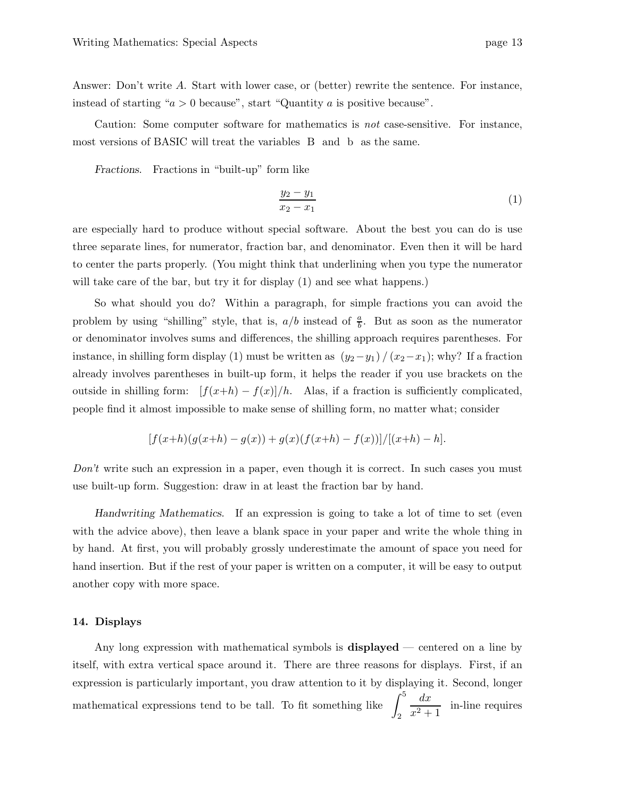Answer: Don't write A. Start with lower case, or (better) rewrite the sentence. For instance, instead of starting " $a > 0$  because", start "Quantity a is positive because".

Caution: Some computer software for mathematics is not case-sensitive. For instance, most versions of BASIC will treat the variables B and b as the same.

Fractions. Fractions in "built-up" form like

$$
\frac{y_2 - y_1}{x_2 - x_1} \tag{1}
$$

are especially hard to produce without special software. About the best you can do is use three separate lines, for numerator, fraction bar, and denominator. Even then it will be hard to center the parts properly. (You might think that underlining when you type the numerator will take care of the bar, but try it for display  $(1)$  and see what happens.)

So what should you do? Within a paragraph, for simple fractions you can avoid the problem by using "shilling" style, that is,  $a/b$  instead of  $\frac{a}{b}$ . But as soon as the numerator or denominator involves sums and differences, the shilling approach requires parentheses. For instance, in shilling form display (1) must be written as  $(y_2-y_1) / (x_2-x_1)$ ; why? If a fraction already involves parentheses in built-up form, it helps the reader if you use brackets on the outside in shilling form:  $[f(x+h) - f(x)]/h$ . Alas, if a fraction is sufficiently complicated, people find it almost impossible to make sense of shilling form, no matter what; consider

$$
[f(x+h)(g(x+h) - g(x)) + g(x)(f(x+h) - f(x))]/[(x+h) - h].
$$

Don't write such an expression in a paper, even though it is correct. In such cases you must use built-up form. Suggestion: draw in at least the fraction bar by hand.

Handwriting Mathematics. If an expression is going to take a lot of time to set (even with the advice above), then leave a blank space in your paper and write the whole thing in by hand. At first, you will probably grossly underestimate the amount of space you need for hand insertion. But if the rest of your paper is written on a computer, it will be easy to output another copy with more space.

## 14. Displays

Any long expression with mathematical symbols is **displayed** — centered on a line by itself, with extra vertical space around it. There are three reasons for displays. First, if an expression is particularly important, you draw attention to it by displaying it. Second, longer mathematical expressions tend to be tall. To fit something like  $\int_0^5$ 2  $dx$  $\frac{ax}{x^2+1}$  in-line requires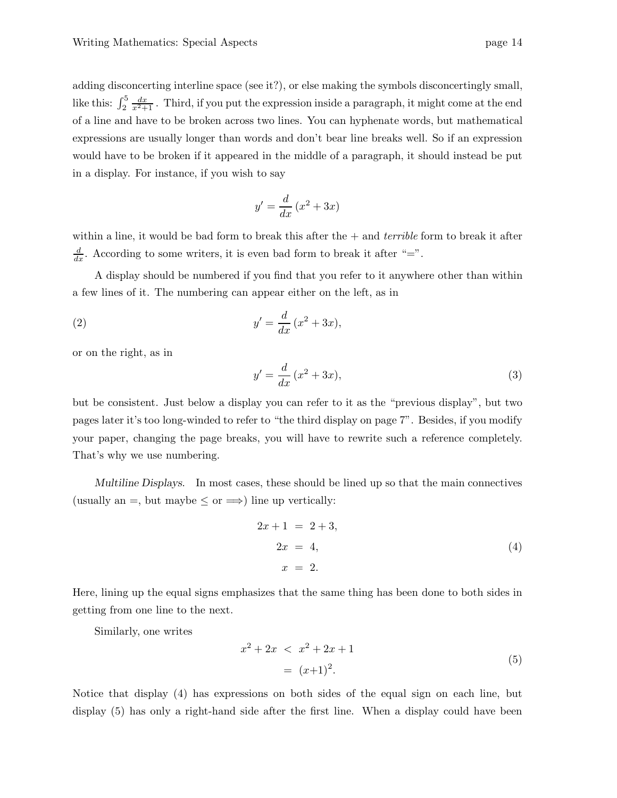adding disconcerting interline space (see it?), or else making the symbols disconcertingly small, like this:  $\int_2^5$  $\frac{dx}{x^2+1}$ . Third, if you put the expression inside a paragraph, it might come at the end of a line and have to be broken across two lines. You can hyphenate words, but mathematical expressions are usually longer than words and don't bear line breaks well. So if an expression would have to be broken if it appeared in the middle of a paragraph, it should instead be put in a display. For instance, if you wish to say

$$
y' = \frac{d}{dx}\left(x^2 + 3x\right)
$$

within a line, it would be bad form to break this after the  $+$  and *terrible* form to break it after  $\frac{d}{dx}$ . According to some writers, it is even bad form to break it after "=".

A display should be numbered if you find that you refer to it anywhere other than within a few lines of it. The numbering can appear either on the left, as in

$$
(2) \t\t y' = \frac{d}{dx}(x^2 + 3x),
$$

or on the right, as in

$$
y' = \frac{d}{dx}\left(x^2 + 3x\right),\tag{3}
$$

but be consistent. Just below a display you can refer to it as the "previous display", but two pages later it's too long-winded to refer to "the third display on page 7". Besides, if you modify your paper, changing the page breaks, you will have to rewrite such a reference completely. That's why we use numbering.

Multiline Displays. In most cases, these should be lined up so that the main connectives (usually an =, but maybe  $\leq$  or  $\implies$ ) line up vertically:

$$
2x + 1 = 2 + 3,\n2x = 4,\nx = 2.
$$
\n(4)

Here, lining up the equal signs emphasizes that the same thing has been done to both sides in getting from one line to the next.

Similarly, one writes

$$
x^{2} + 2x < x^{2} + 2x + 1
$$
  
=  $(x+1)^{2}$ . (5)

Notice that display (4) has expressions on both sides of the equal sign on each line, but display (5) has only a right-hand side after the first line. When a display could have been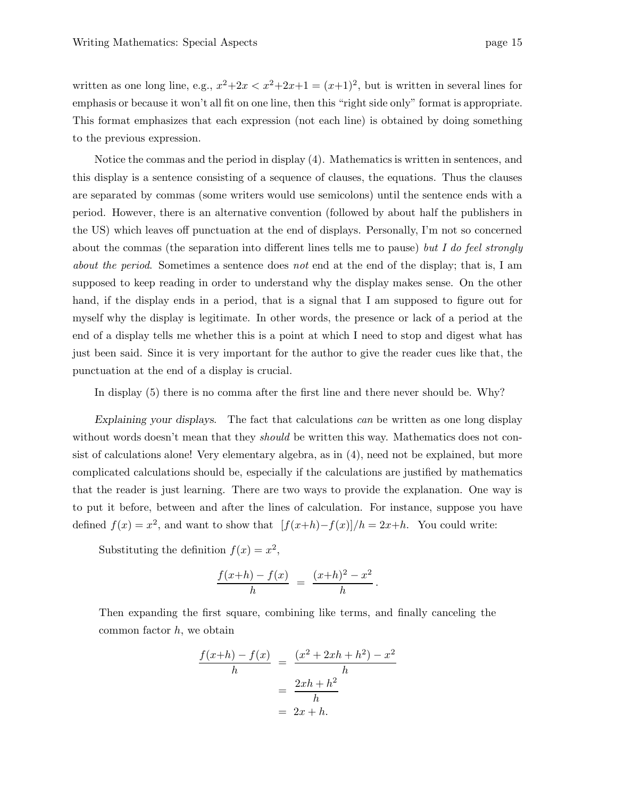written as one long line, e.g.,  $x^2+2x < x^2+2x+1 = (x+1)^2$ , but is written in several lines for emphasis or because it won't all fit on one line, then this "right side only" format is appropriate. This format emphasizes that each expression (not each line) is obtained by doing something to the previous expression.

Notice the commas and the period in display (4). Mathematics is written in sentences, and this display is a sentence consisting of a sequence of clauses, the equations. Thus the clauses are separated by commas (some writers would use semicolons) until the sentence ends with a period. However, there is an alternative convention (followed by about half the publishers in the US) which leaves off punctuation at the end of displays. Personally, I'm not so concerned about the commas (the separation into different lines tells me to pause) but I do feel strongly about the period. Sometimes a sentence does not end at the end of the display; that is, I am supposed to keep reading in order to understand why the display makes sense. On the other hand, if the display ends in a period, that is a signal that I am supposed to figure out for myself why the display is legitimate. In other words, the presence or lack of a period at the end of a display tells me whether this is a point at which I need to stop and digest what has just been said. Since it is very important for the author to give the reader cues like that, the punctuation at the end of a display is crucial.

In display (5) there is no comma after the first line and there never should be. Why?

Explaining your displays. The fact that calculations can be written as one long display without words doesn't mean that they *should* be written this way. Mathematics does not consist of calculations alone! Very elementary algebra, as in (4), need not be explained, but more complicated calculations should be, especially if the calculations are justified by mathematics that the reader is just learning. There are two ways to provide the explanation. One way is to put it before, between and after the lines of calculation. For instance, suppose you have defined  $f(x) = x^2$ , and want to show that  $[f(x+h)-f(x)]/h = 2x+h$ . You could write:

Substituting the definition  $f(x) = x^2$ ,

$$
\frac{f(x+h) - f(x)}{h} = \frac{(x+h)^2 - x^2}{h}.
$$

Then expanding the first square, combining like terms, and finally canceling the common factor  $h$ , we obtain

$$
\frac{f(x+h) - f(x)}{h} = \frac{(x^2 + 2xh + h^2) - x^2}{h}
$$

$$
= \frac{2xh + h^2}{h}
$$

$$
= 2x + h.
$$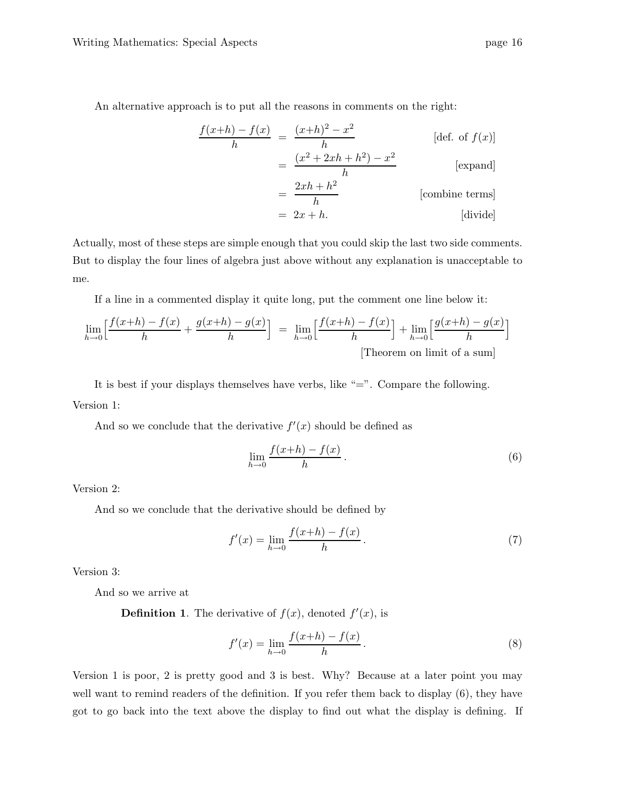An alternative approach is to put all the reasons in comments on the right:

$$
\frac{f(x+h) - f(x)}{h} = \frac{(x+h)^2 - x^2}{h}
$$
 [def. of  $f(x)$ ]  

$$
= \frac{(x^2 + 2xh + h^2) - x^2}{h}
$$
 [expand]  

$$
= \frac{2xh + h^2}{h}
$$
 [combine terms]  

$$
= 2x + h.
$$
 [divide]

Actually, most of these steps are simple enough that you could skip the last two side comments. But to display the four lines of algebra just above without any explanation is unacceptable to me.

If a line in a commented display it quite long, put the comment one line below it:

$$
\lim_{h \to 0} \left[ \frac{f(x+h) - f(x)}{h} + \frac{g(x+h) - g(x)}{h} \right] = \lim_{h \to 0} \left[ \frac{f(x+h) - f(x)}{h} \right] + \lim_{h \to 0} \left[ \frac{g(x+h) - g(x)}{h} \right]
$$
\n[Theorem on limit of a sum]

It is best if your displays themselves have verbs, like "=". Compare the following. Version 1:

And so we conclude that the derivative  $f'(x)$  should be defined as

$$
\lim_{h \to 0} \frac{f(x+h) - f(x)}{h} \,. \tag{6}
$$

Version 2:

And so we conclude that the derivative should be defined by

$$
f'(x) = \lim_{h \to 0} \frac{f(x+h) - f(x)}{h}.
$$
 (7)

Version 3:

And so we arrive at

**Definition 1.** The derivative of  $f(x)$ , denoted  $f'(x)$ , is

$$
f'(x) = \lim_{h \to 0} \frac{f(x+h) - f(x)}{h}.
$$
 (8)

Version 1 is poor, 2 is pretty good and 3 is best. Why? Because at a later point you may well want to remind readers of the definition. If you refer them back to display  $(6)$ , they have got to go back into the text above the display to find out what the display is defining. If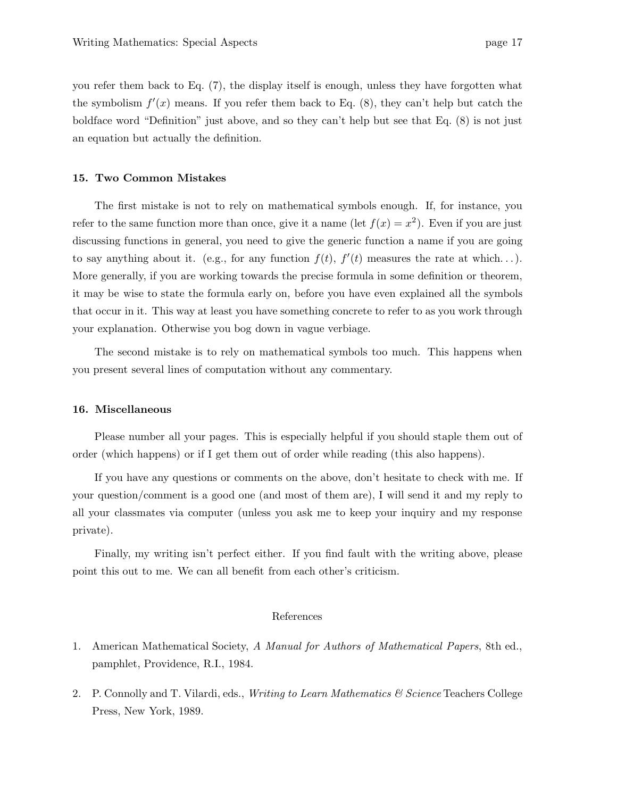you refer them back to Eq. (7), the display itself is enough, unless they have forgotten what the symbolism  $f'(x)$  means. If you refer them back to Eq. (8), they can't help but catch the boldface word "Definition" just above, and so they can't help but see that Eq. (8) is not just an equation but actually the definition.

#### 15. Two Common Mistakes

The first mistake is not to rely on mathematical symbols enough. If, for instance, you refer to the same function more than once, give it a name (let  $f(x) = x^2$ ). Even if you are just discussing functions in general, you need to give the generic function a name if you are going to say anything about it. (e.g., for any function  $f(t)$ ,  $f'(t)$  measures the rate at which...). More generally, if you are working towards the precise formula in some definition or theorem, it may be wise to state the formula early on, before you have even explained all the symbols that occur in it. This way at least you have something concrete to refer to as you work through your explanation. Otherwise you bog down in vague verbiage.

The second mistake is to rely on mathematical symbols too much. This happens when you present several lines of computation without any commentary.

#### 16. Miscellaneous

Please number all your pages. This is especially helpful if you should staple them out of order (which happens) or if I get them out of order while reading (this also happens).

If you have any questions or comments on the above, don't hesitate to check with me. If your question/comment is a good one (and most of them are), I will send it and my reply to all your classmates via computer (unless you ask me to keep your inquiry and my response private).

Finally, my writing isn't perfect either. If you find fault with the writing above, please point this out to me. We can all benefit from each other's criticism.

#### References

- 1. American Mathematical Society, A Manual for Authors of Mathematical Papers, 8th ed., pamphlet, Providence, R.I., 1984.
- 2. P. Connolly and T. Vilardi, eds., Writing to Learn Mathematics & Science Teachers College Press, New York, 1989.